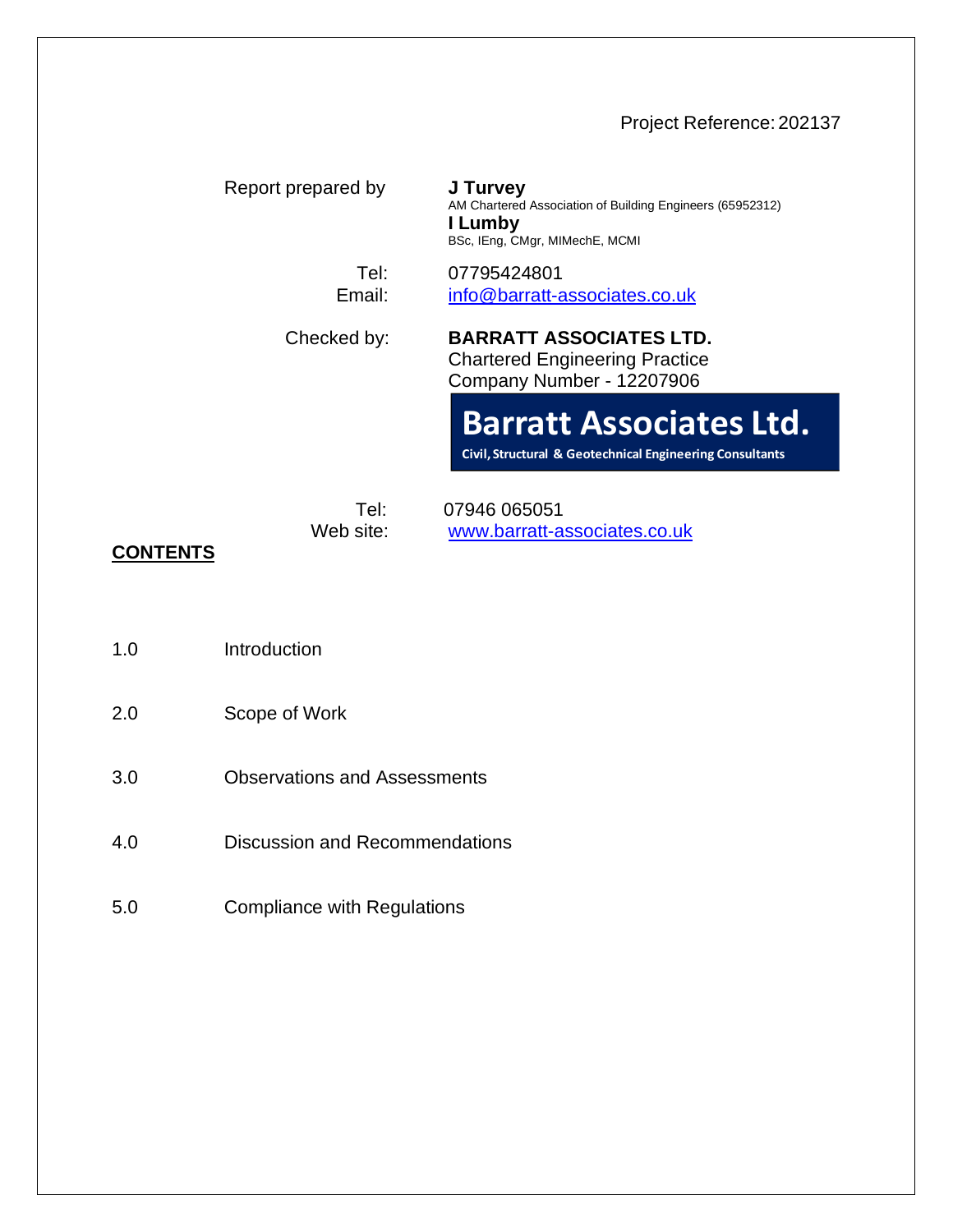# Project Reference: 202137

| Report prepared by | J Turvey<br>AM Chartered Association of Building Engineers (65952312)<br>I Lumby<br>BSc, IEng, CMgr, MIMechE, MCMI |
|--------------------|--------------------------------------------------------------------------------------------------------------------|
| Tel:<br>Email:     | 07795424801<br>info@barratt-associates.co.uk                                                                       |
| Checked by:        | <b>BARRATT ASSOCIATES LTD.</b><br><b>Chartered Engineering Practice</b><br>Company Number - 12207906               |
|                    | <b>Barratt Associates Ltd.</b><br>Civil, Structural & Geotechnical Engineering Consultants                         |
| Tel:<br>Web site:  | 07946 065051<br>www.barratt-associates.co.uk                                                                       |

# **CONTENTS**

- 1.0 Introduction
- 2.0 Scope of Work
- 3.0 Observations and Assessments
- 4.0 Discussion and Recommendations
- 5.0 Compliance with Regulations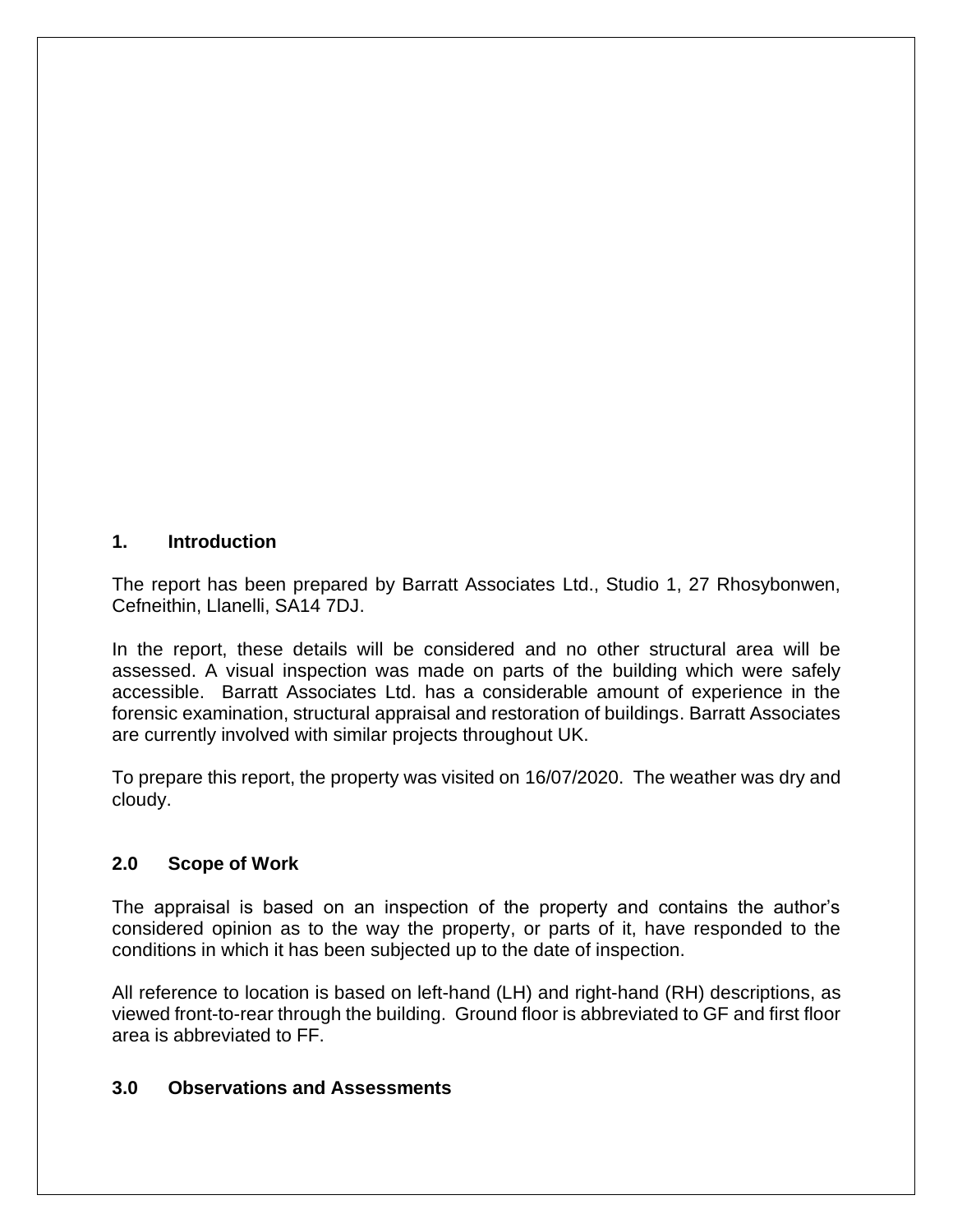#### **1. Introduction**

The report has been prepared by Barratt Associates Ltd., Studio 1, 27 Rhosybonwen, Cefneithin, Llanelli, SA14 7DJ.

In the report, these details will be considered and no other structural area will be assessed. A visual inspection was made on parts of the building which were safely accessible. Barratt Associates Ltd. has a considerable amount of experience in the forensic examination, structural appraisal and restoration of buildings. Barratt Associates are currently involved with similar projects throughout UK.

To prepare this report, the property was visited on 16/07/2020. The weather was dry and cloudy.

### **2.0 Scope of Work**

The appraisal is based on an inspection of the property and contains the author's considered opinion as to the way the property, or parts of it, have responded to the conditions in which it has been subjected up to the date of inspection.

All reference to location is based on left-hand (LH) and right-hand (RH) descriptions, as viewed front-to-rear through the building. Ground floor is abbreviated to GF and first floor area is abbreviated to FF.

### **3.0 Observations and Assessments**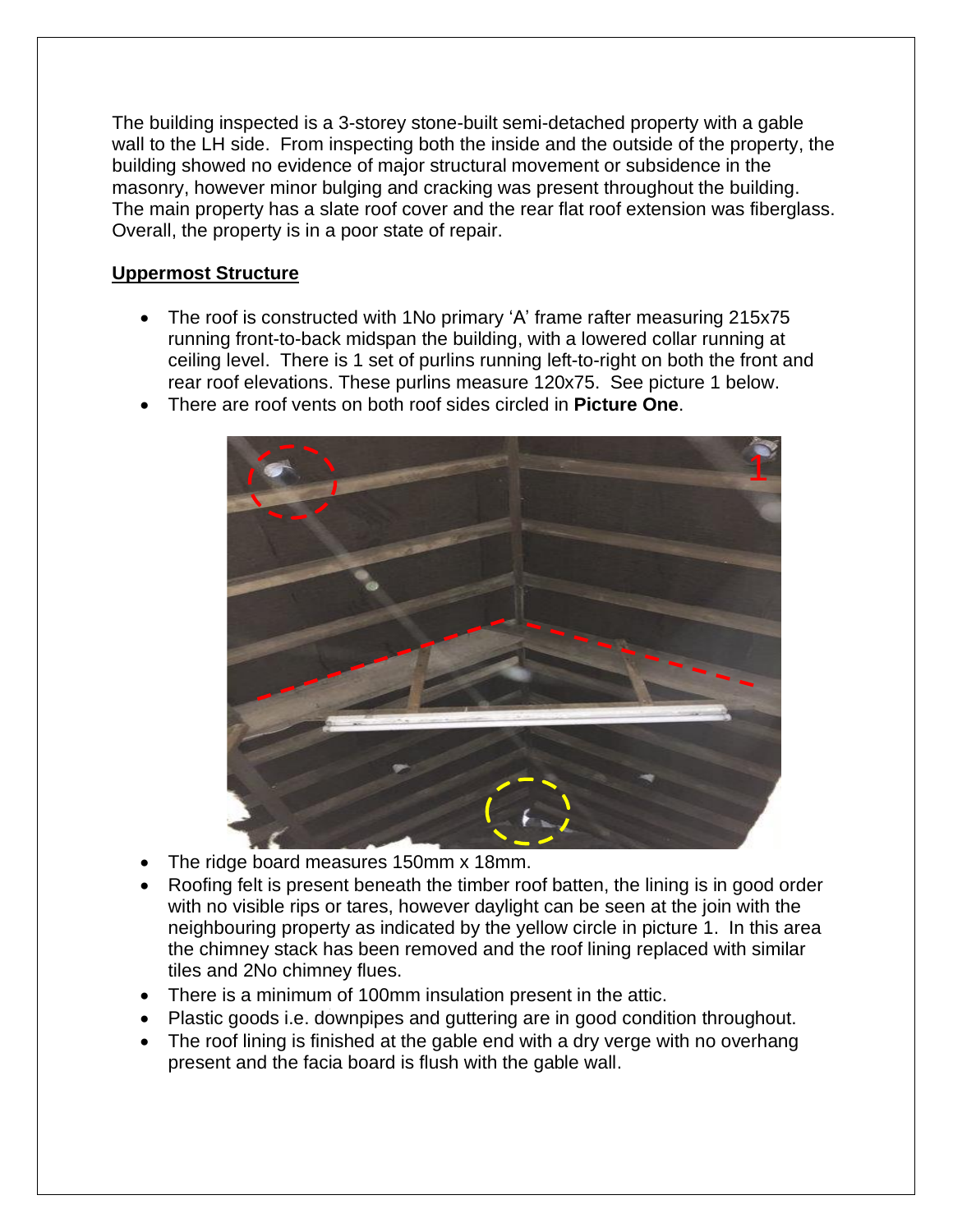The building inspected is a 3-storey stone-built semi-detached property with a gable wall to the LH side. From inspecting both the inside and the outside of the property, the building showed no evidence of major structural movement or subsidence in the masonry, however minor bulging and cracking was present throughout the building. The main property has a slate roof cover and the rear flat roof extension was fiberglass. Overall, the property is in a poor state of repair.

# **Uppermost Structure**

- The roof is constructed with 1No primary 'A' frame rafter measuring 215x75 running front-to-back midspan the building, with a lowered collar running at ceiling level. There is 1 set of purlins running left-to-right on both the front and rear roof elevations. These purlins measure 120x75. See picture 1 below.
- There are roof vents on both roof sides circled in **Picture One**.



- The ridge board measures 150mm x 18mm.
- Roofing felt is present beneath the timber roof batten, the lining is in good order with no visible rips or tares, however daylight can be seen at the join with the neighbouring property as indicated by the yellow circle in picture 1. In this area the chimney stack has been removed and the roof lining replaced with similar tiles and 2No chimney flues.
- There is a minimum of 100mm insulation present in the attic.
- Plastic goods i.e. downpipes and guttering are in good condition throughout.
- The roof lining is finished at the gable end with a dry verge with no overhang present and the facia board is flush with the gable wall.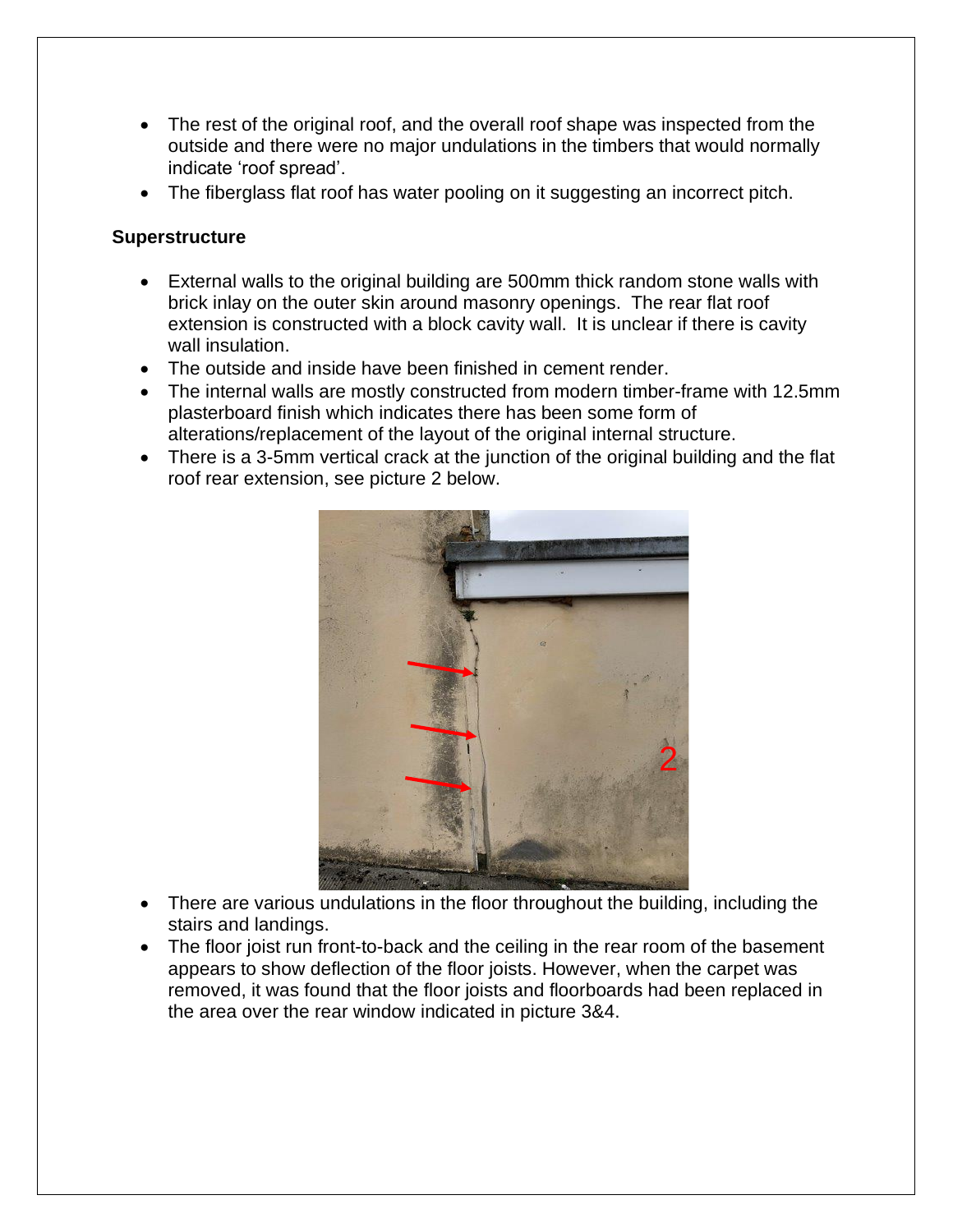- The rest of the original roof, and the overall roof shape was inspected from the outside and there were no major undulations in the timbers that would normally indicate 'roof spread'.
- The fiberglass flat roof has water pooling on it suggesting an incorrect pitch.

## **Superstructure**

- External walls to the original building are 500mm thick random stone walls with brick inlay on the outer skin around masonry openings. The rear flat roof extension is constructed with a block cavity wall. It is unclear if there is cavity wall insulation.
- The outside and inside have been finished in cement render.
- The internal walls are mostly constructed from modern timber-frame with 12.5mm plasterboard finish which indicates there has been some form of alterations/replacement of the layout of the original internal structure.
- There is a 3-5mm vertical crack at the junction of the original building and the flat roof rear extension, see picture 2 below.



- There are various undulations in the floor throughout the building, including the stairs and landings.
- The floor joist run front-to-back and the ceiling in the rear room of the basement appears to show deflection of the floor joists. However, when the carpet was removed, it was found that the floor joists and floorboards had been replaced in the area over the rear window indicated in picture 3&4.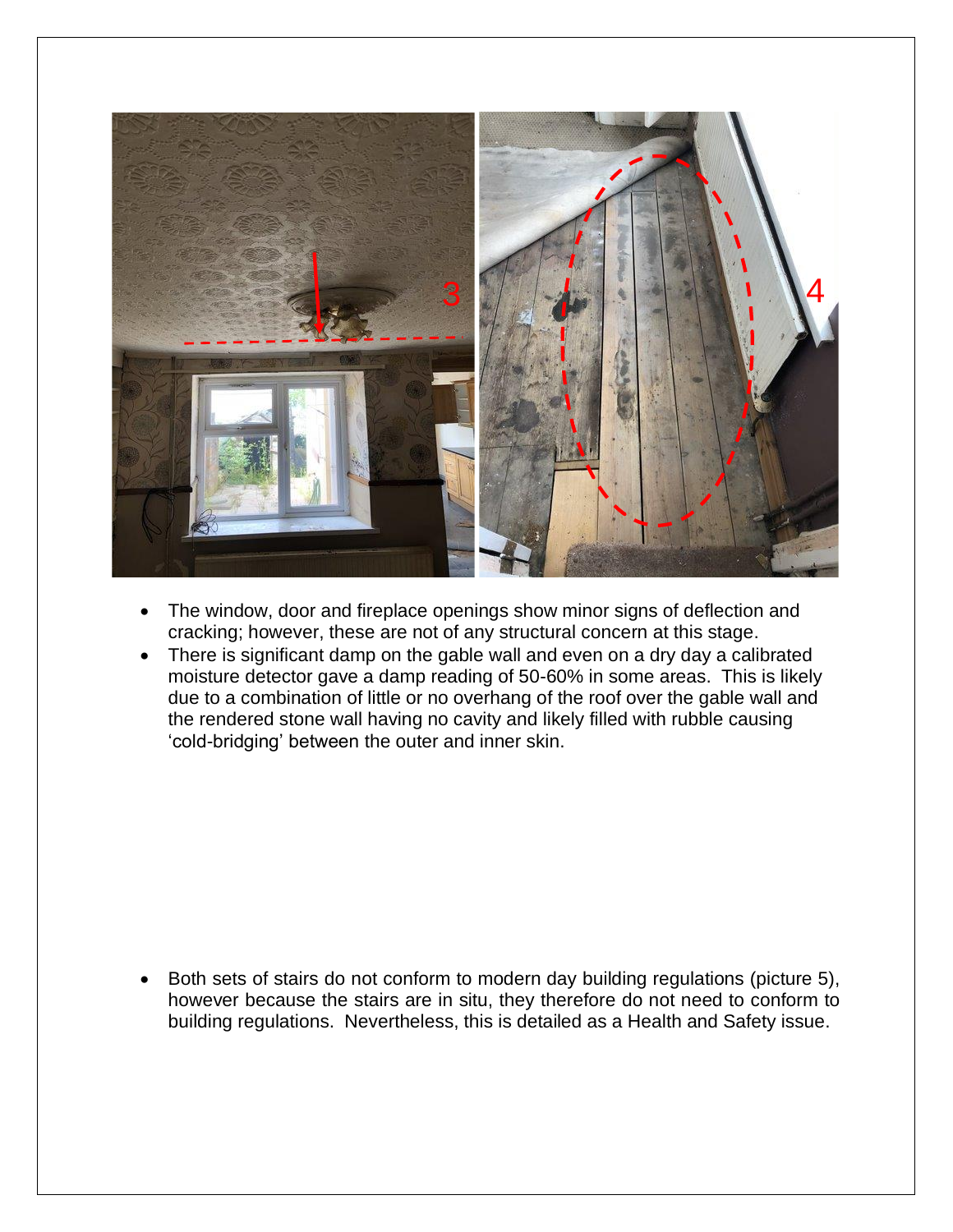![](_page_4_Picture_0.jpeg)

- The window, door and fireplace openings show minor signs of deflection and cracking; however, these are not of any structural concern at this stage.
- There is significant damp on the gable wall and even on a dry day a calibrated moisture detector gave a damp reading of 50-60% in some areas. This is likely due to a combination of little or no overhang of the roof over the gable wall and the rendered stone wall having no cavity and likely filled with rubble causing 'cold-bridging' between the outer and inner skin.

• Both sets of stairs do not conform to modern day building regulations (picture 5), however because the stairs are in situ, they therefore do not need to conform to building regulations. Nevertheless, this is detailed as a Health and Safety issue.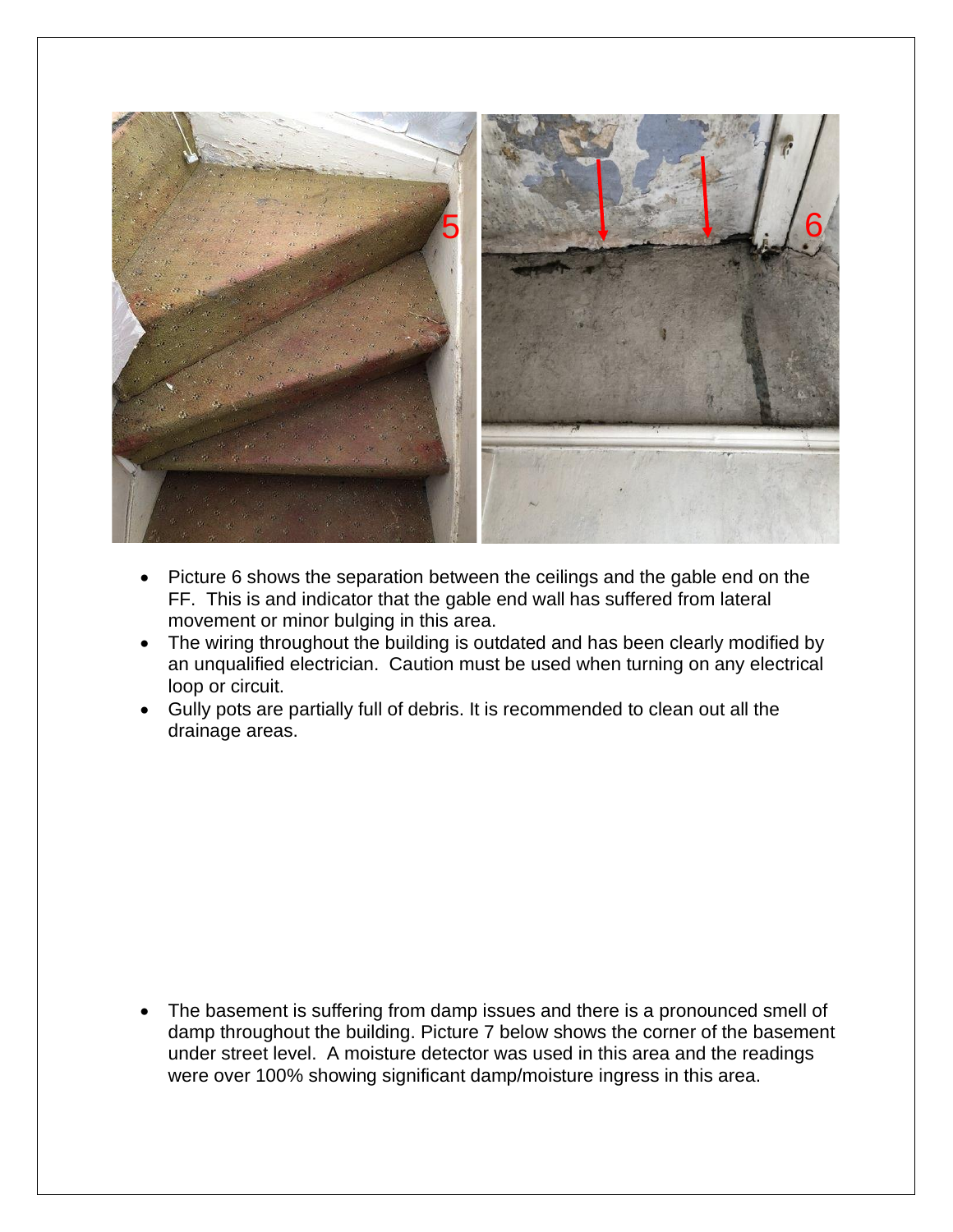![](_page_5_Picture_0.jpeg)

- Picture 6 shows the separation between the ceilings and the gable end on the FF. This is and indicator that the gable end wall has suffered from lateral movement or minor bulging in this area.
- The wiring throughout the building is outdated and has been clearly modified by an unqualified electrician. Caution must be used when turning on any electrical loop or circuit.
- Gully pots are partially full of debris. It is recommended to clean out all the drainage areas.

The basement is suffering from damp issues and there is a pronounced smell of damp throughout the building. Picture 7 below shows the corner of the basement under street level. A moisture detector was used in this area and the readings were over 100% showing significant damp/moisture ingress in this area.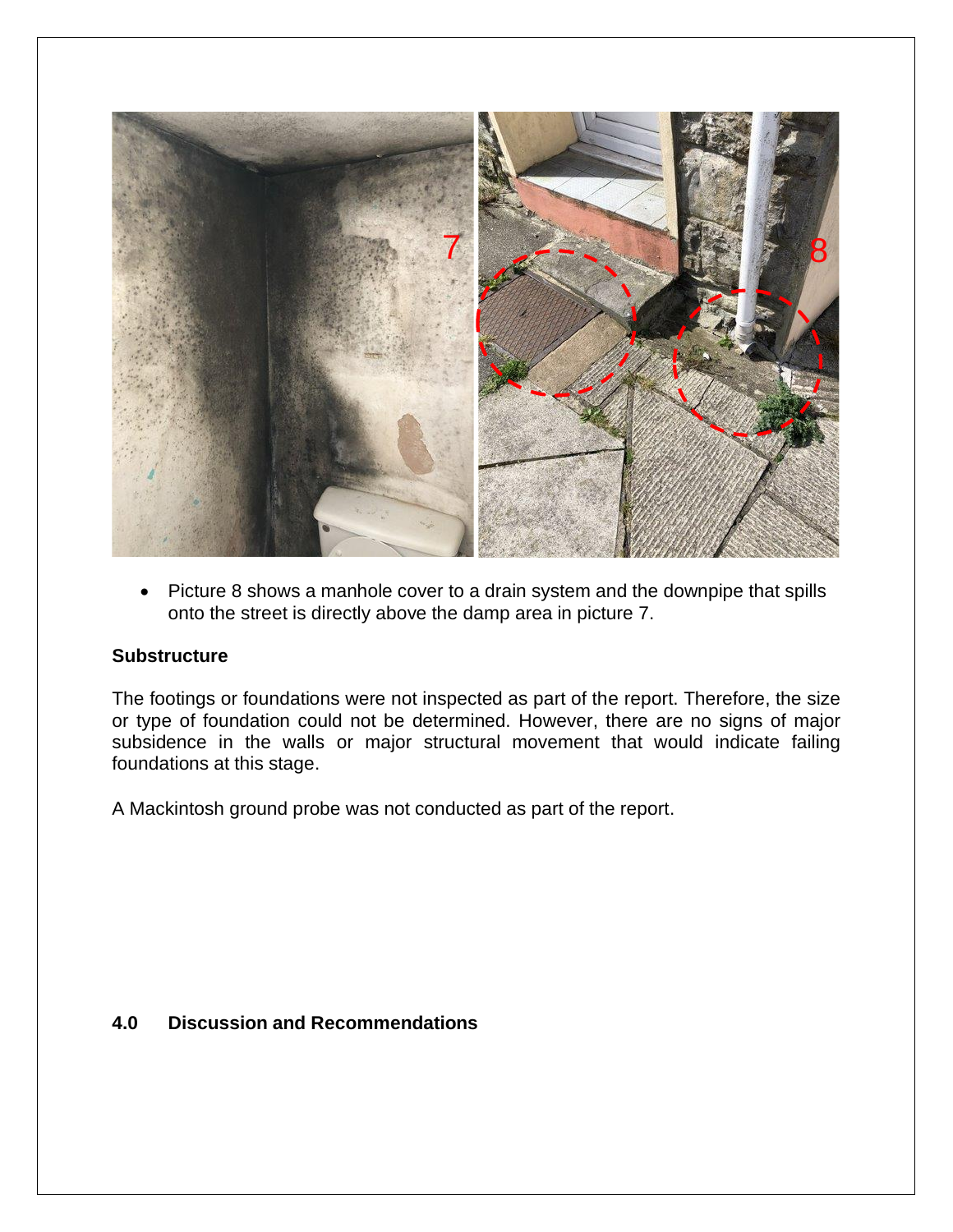![](_page_6_Picture_0.jpeg)

• Picture 8 shows a manhole cover to a drain system and the downpipe that spills onto the street is directly above the damp area in picture 7.

#### **Substructure**

The footings or foundations were not inspected as part of the report. Therefore, the size or type of foundation could not be determined. However, there are no signs of major subsidence in the walls or major structural movement that would indicate failing foundations at this stage.

A Mackintosh ground probe was not conducted as part of the report.

#### **4.0 Discussion and Recommendations**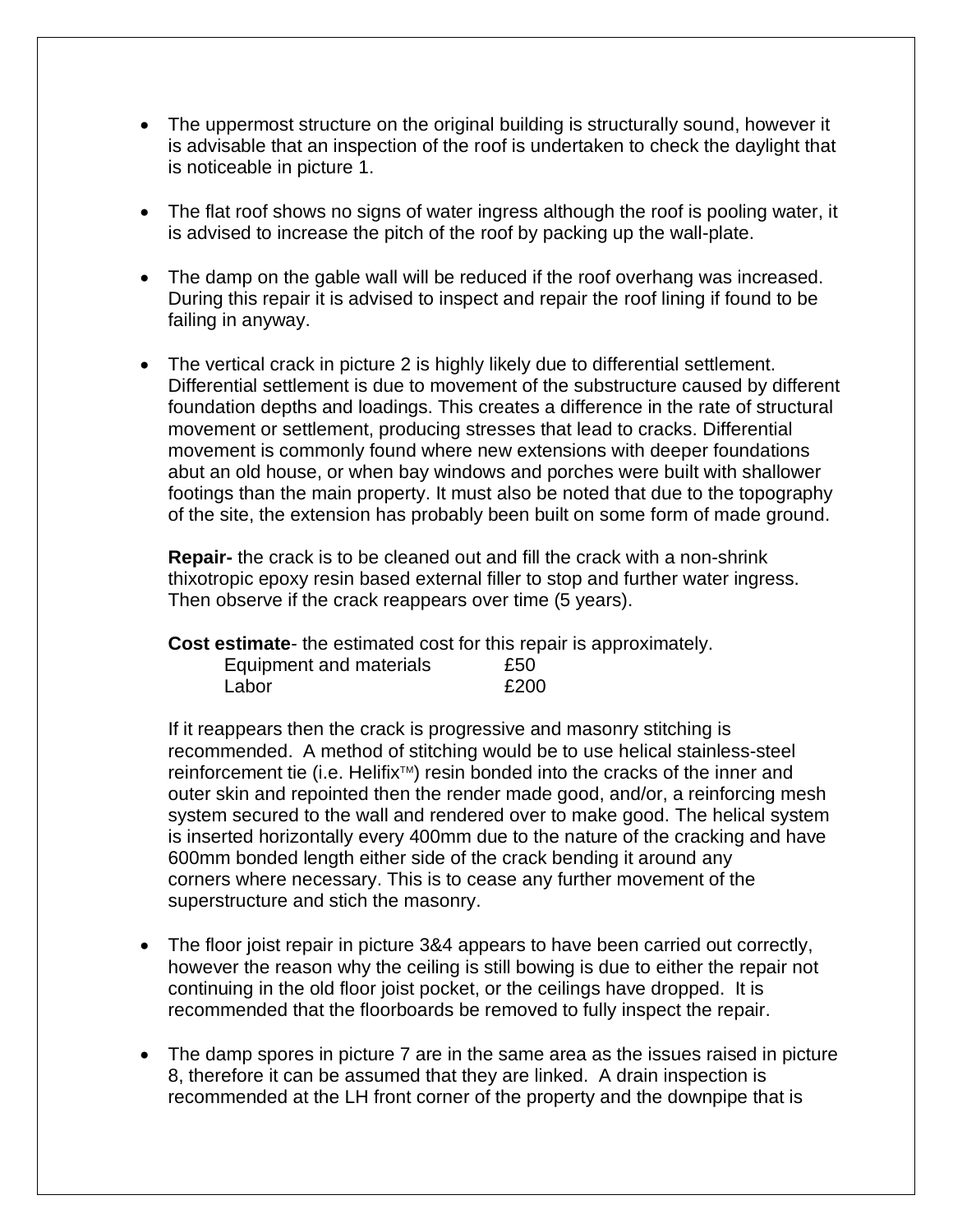- The uppermost structure on the original building is structurally sound, however it is advisable that an inspection of the roof is undertaken to check the daylight that is noticeable in picture 1.
- The flat roof shows no signs of water ingress although the roof is pooling water, it is advised to increase the pitch of the roof by packing up the wall-plate.
- The damp on the gable wall will be reduced if the roof overhang was increased. During this repair it is advised to inspect and repair the roof lining if found to be failing in anyway.
- The vertical crack in picture 2 is highly likely due to differential settlement. Differential settlement is due to movement of the substructure caused by different foundation depths and loadings. This creates a difference in the rate of structural movement or settlement, producing stresses that lead to cracks. Differential movement is commonly found where new extensions with deeper foundations abut an old house, or when bay windows and porches were built with shallower footings than the main property. It must also be noted that due to the topography of the site, the extension has probably been built on some form of made ground.

**Repair-** the crack is to be cleaned out and fill the crack with a non-shrink thixotropic epoxy resin based external filler to stop and further water ingress. Then observe if the crack reappears over time (5 years).

**Cost estimate**- the estimated cost for this repair is approximately.

| Equipment and materials | £50  |
|-------------------------|------|
| Labor                   | £200 |

If it reappears then the crack is progressive and masonry stitching is recommended. A method of stitching would be to use helical stainless-steel reinforcement tie (i.e. Helifix<sup>™</sup>) resin bonded into the cracks of the inner and outer skin and repointed then the render made good, and/or, a reinforcing mesh system secured to the wall and rendered over to make good. The helical system is inserted horizontally every 400mm due to the nature of the cracking and have 600mm bonded length either side of the crack bending it around any corners where necessary. This is to cease any further movement of the superstructure and stich the masonry.

- The floor joist repair in picture 3&4 appears to have been carried out correctly, however the reason why the ceiling is still bowing is due to either the repair not continuing in the old floor joist pocket, or the ceilings have dropped. It is recommended that the floorboards be removed to fully inspect the repair.
- The damp spores in picture 7 are in the same area as the issues raised in picture 8, therefore it can be assumed that they are linked. A drain inspection is recommended at the LH front corner of the property and the downpipe that is